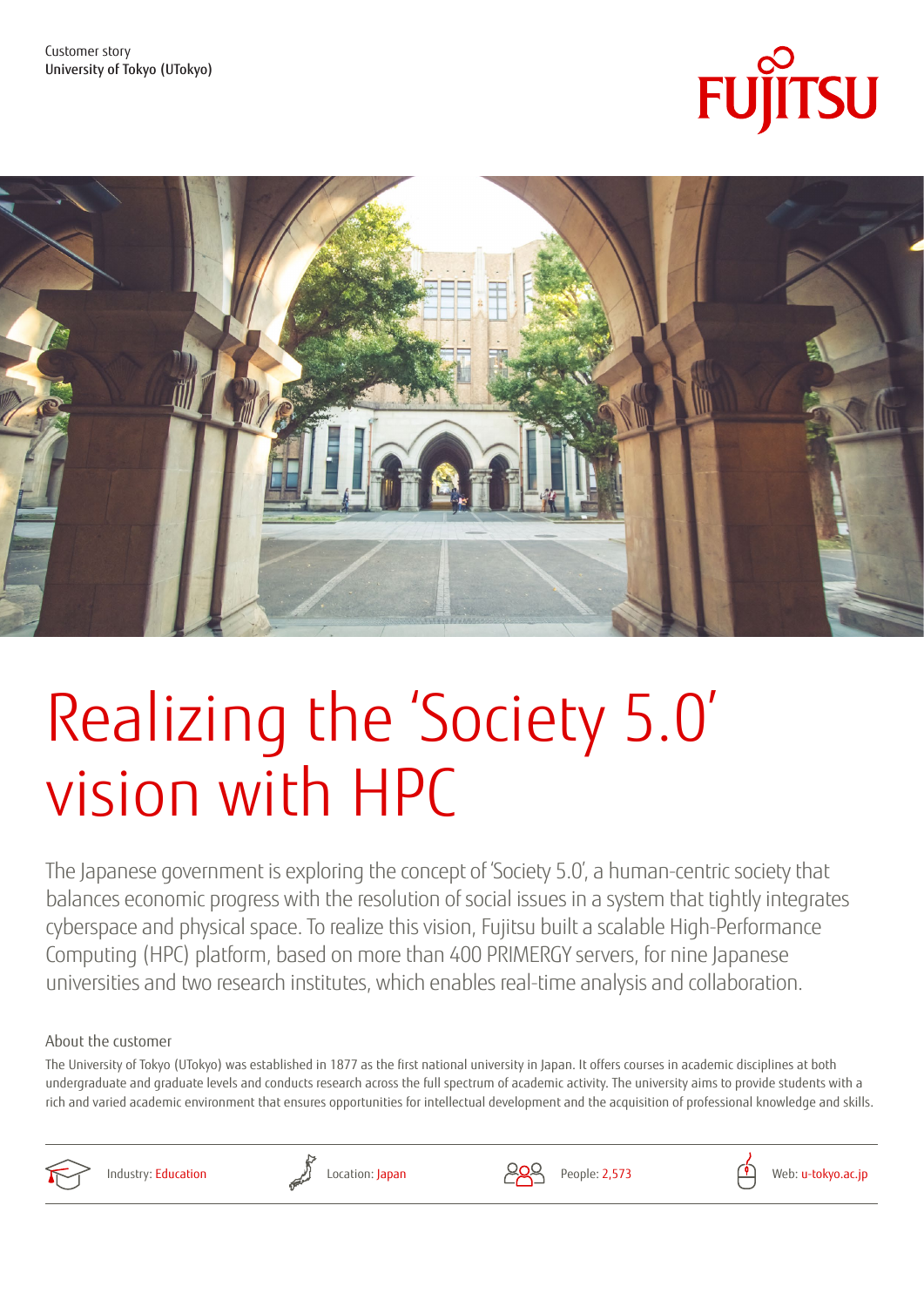



# Realizing the 'Society 5.0' vision with HPC

The Japanese government is exploring the concept of 'Society 5.0', a human-centric society that balances economic progress with the resolution of social issues in a system that tightly integrates cyberspace and physical space. To realize this vision, Fujitsu built a scalable High-Performance Computing (HPC) platform, based on more than 400 PRIMERGY servers, for nine Japanese universities and two research institutes, which enables real-time analysis and collaboration.

#### About the customer

The University of Tokyo (UTokyo) was established in 1877 as the first national university in Japan. It offers courses in academic disciplines at both undergraduate and graduate levels and conducts research across the full spectrum of academic activity. The university aims to provide students with a rich and varied academic environment that ensures opportunities for intellectual development and the acquisition of professional knowledge and skills.